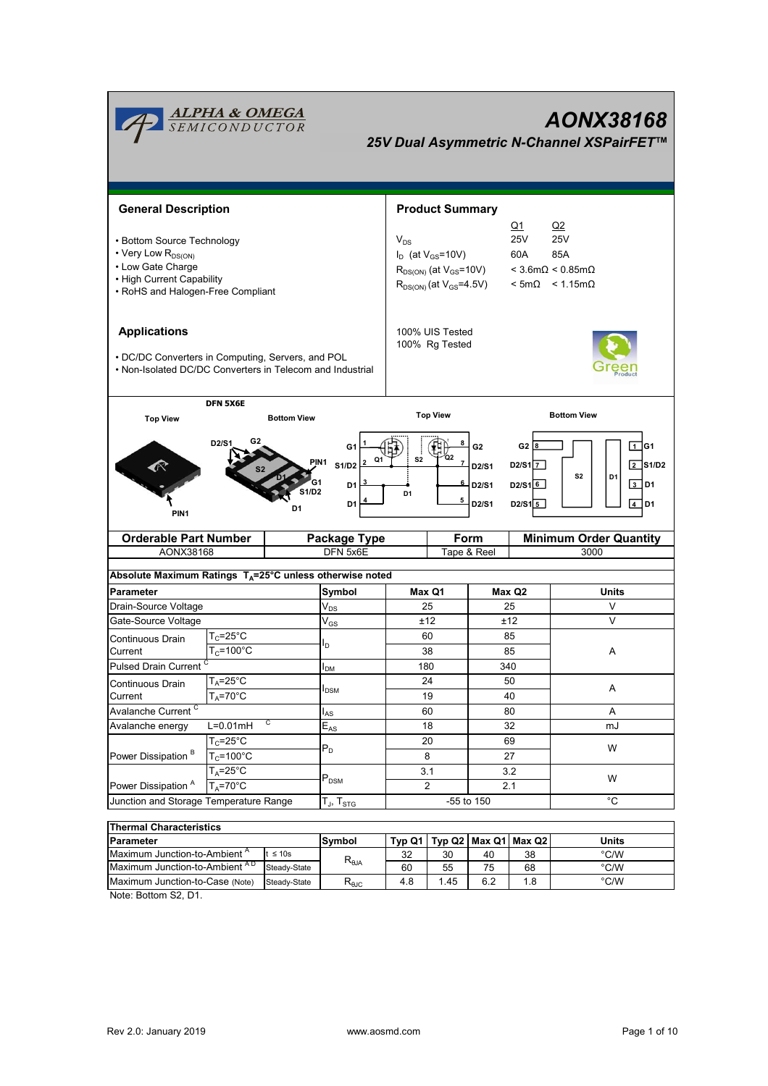| <b>Product Summary</b><br><b>General Description</b><br><u>Q1</u><br>Q2<br><b>25V</b><br><b>25V</b><br>$V_{DS}$<br>• Bottom Source Technology<br>• Very Low R <sub>DS(ON)</sub><br>$I_D$ (at $V_{GS}$ =10V)<br>60A<br>85A<br>• Low Gate Charge<br>$R_{DS(ON)}$ (at $V_{GS}$ =10V)<br>$<$ 3.6m $\Omega$ < 0.85m $\Omega$<br>• High Current Capability<br>$R_{DS(ON)}$ (at $V_{GS} = 4.5V$ ) $\leq 5m\Omega$ $\leq 1.15m\Omega$<br>• RoHS and Halogen-Free Compliant<br><b>Applications</b><br>100% UIS Tested<br>100% Rg Tested<br>• DC/DC Converters in Computing, Servers, and POL<br>• Non-Isolated DC/DC Converters in Telecom and Industrial<br><b>DFN 5X6E</b><br><b>Top View</b><br><b>Bottom View</b><br><b>Bottom View</b><br><b>Top View</b><br>D2/S1<br>G <sub>2</sub><br>G <sub>2</sub> $ 8$<br>G1<br>Q2<br>S <sub>2</sub><br>Q1<br>PIN1<br><b>S1/D2</b><br>D <sub>2</sub> /S <sub>1</sub> $\overline{7}$<br>D2/S1<br>S <sub>2</sub><br>D1<br>D2/S16<br>D2/S1<br>D <sub>1</sub><br>1/D2<br>D <sub>1</sub><br>5<br>D <sub>2</sub> /S <sub>1</sub><br>$D2/S1\overline{5}$<br>D1<br>D1<br>PIN <sub>1</sub><br><b>Orderable Part Number</b><br><b>Package Type</b><br><b>Form</b><br>AONX38168<br>DFN 5x6E<br>Tape & Reel<br>3000<br>Absolute Maximum Ratings T <sub>A</sub> =25°C unless otherwise noted<br>Max Q1<br>Parameter<br>Symbol<br>Max Q2<br>Units<br>Drain-Source Voltage<br>25<br>25<br>V<br>$V_{DS}$<br>V<br>Gate-Source Voltage<br>$\mathsf{V}_{\mathsf{GS}}$<br>±12<br>±12<br>$T_c = 25$ °C<br>60<br>85<br>Continuous Drain<br>ln.<br>$T_c = 100^{\circ}$ C<br>Current<br>38<br>85<br>A<br>Pulsed Drain Current <sup>C</sup><br>180<br>340<br>I <sub>DM</sub><br>$T_A = 25^\circ C$<br>50<br>24<br>Continuous Drain<br>Α<br>I <sub>DSM</sub><br>$T_A = 70$ °C<br>Current<br>19<br>40<br>Avalanche Current <sup>C</sup><br>60<br>80<br>Α<br>l <sub>AS</sub><br>C<br>$L=0.01mH$<br>32<br>Avalanche energy<br>18<br>$E_{AS}$<br>mJ<br>$T_C = 25^\circ C$<br>20<br>69<br>$\mathsf{P}_\mathsf{D}$<br>W<br>Power Dissipation <sup>B</sup><br>$T_c = 100^{\circ}C$<br>27<br>8<br>3.2 | <b>ALPHA &amp; OMEGA</b><br>SEMICONDUCTOR<br>AONX38168<br>25V Dual Asymmetric N-Channel XSPairFET™ |               |  |     |  |  |                                                     |  |  |
|------------------------------------------------------------------------------------------------------------------------------------------------------------------------------------------------------------------------------------------------------------------------------------------------------------------------------------------------------------------------------------------------------------------------------------------------------------------------------------------------------------------------------------------------------------------------------------------------------------------------------------------------------------------------------------------------------------------------------------------------------------------------------------------------------------------------------------------------------------------------------------------------------------------------------------------------------------------------------------------------------------------------------------------------------------------------------------------------------------------------------------------------------------------------------------------------------------------------------------------------------------------------------------------------------------------------------------------------------------------------------------------------------------------------------------------------------------------------------------------------------------------------------------------------------------------------------------------------------------------------------------------------------------------------------------------------------------------------------------------------------------------------------------------------------------------------------------------------------------------------------------------------------------------------------------------------------------------------------------------------------------------------------------------------------------------------------------------------------|----------------------------------------------------------------------------------------------------|---------------|--|-----|--|--|-----------------------------------------------------|--|--|
|                                                                                                                                                                                                                                                                                                                                                                                                                                                                                                                                                                                                                                                                                                                                                                                                                                                                                                                                                                                                                                                                                                                                                                                                                                                                                                                                                                                                                                                                                                                                                                                                                                                                                                                                                                                                                                                                                                                                                                                                                                                                                                      |                                                                                                    |               |  |     |  |  |                                                     |  |  |
|                                                                                                                                                                                                                                                                                                                                                                                                                                                                                                                                                                                                                                                                                                                                                                                                                                                                                                                                                                                                                                                                                                                                                                                                                                                                                                                                                                                                                                                                                                                                                                                                                                                                                                                                                                                                                                                                                                                                                                                                                                                                                                      |                                                                                                    |               |  |     |  |  |                                                     |  |  |
|                                                                                                                                                                                                                                                                                                                                                                                                                                                                                                                                                                                                                                                                                                                                                                                                                                                                                                                                                                                                                                                                                                                                                                                                                                                                                                                                                                                                                                                                                                                                                                                                                                                                                                                                                                                                                                                                                                                                                                                                                                                                                                      |                                                                                                    |               |  |     |  |  |                                                     |  |  |
|                                                                                                                                                                                                                                                                                                                                                                                                                                                                                                                                                                                                                                                                                                                                                                                                                                                                                                                                                                                                                                                                                                                                                                                                                                                                                                                                                                                                                                                                                                                                                                                                                                                                                                                                                                                                                                                                                                                                                                                                                                                                                                      |                                                                                                    |               |  |     |  |  |                                                     |  |  |
|                                                                                                                                                                                                                                                                                                                                                                                                                                                                                                                                                                                                                                                                                                                                                                                                                                                                                                                                                                                                                                                                                                                                                                                                                                                                                                                                                                                                                                                                                                                                                                                                                                                                                                                                                                                                                                                                                                                                                                                                                                                                                                      |                                                                                                    |               |  |     |  |  | 1 G1<br>$\sqrt{2}$ S1/D2<br>$3$ D1<br>$\sqrt{4}$ D1 |  |  |
|                                                                                                                                                                                                                                                                                                                                                                                                                                                                                                                                                                                                                                                                                                                                                                                                                                                                                                                                                                                                                                                                                                                                                                                                                                                                                                                                                                                                                                                                                                                                                                                                                                                                                                                                                                                                                                                                                                                                                                                                                                                                                                      |                                                                                                    |               |  |     |  |  | <b>Minimum Order Quantity</b>                       |  |  |
|                                                                                                                                                                                                                                                                                                                                                                                                                                                                                                                                                                                                                                                                                                                                                                                                                                                                                                                                                                                                                                                                                                                                                                                                                                                                                                                                                                                                                                                                                                                                                                                                                                                                                                                                                                                                                                                                                                                                                                                                                                                                                                      |                                                                                                    |               |  |     |  |  |                                                     |  |  |
|                                                                                                                                                                                                                                                                                                                                                                                                                                                                                                                                                                                                                                                                                                                                                                                                                                                                                                                                                                                                                                                                                                                                                                                                                                                                                                                                                                                                                                                                                                                                                                                                                                                                                                                                                                                                                                                                                                                                                                                                                                                                                                      |                                                                                                    |               |  |     |  |  |                                                     |  |  |
|                                                                                                                                                                                                                                                                                                                                                                                                                                                                                                                                                                                                                                                                                                                                                                                                                                                                                                                                                                                                                                                                                                                                                                                                                                                                                                                                                                                                                                                                                                                                                                                                                                                                                                                                                                                                                                                                                                                                                                                                                                                                                                      |                                                                                                    |               |  |     |  |  |                                                     |  |  |
|                                                                                                                                                                                                                                                                                                                                                                                                                                                                                                                                                                                                                                                                                                                                                                                                                                                                                                                                                                                                                                                                                                                                                                                                                                                                                                                                                                                                                                                                                                                                                                                                                                                                                                                                                                                                                                                                                                                                                                                                                                                                                                      |                                                                                                    |               |  |     |  |  |                                                     |  |  |
|                                                                                                                                                                                                                                                                                                                                                                                                                                                                                                                                                                                                                                                                                                                                                                                                                                                                                                                                                                                                                                                                                                                                                                                                                                                                                                                                                                                                                                                                                                                                                                                                                                                                                                                                                                                                                                                                                                                                                                                                                                                                                                      |                                                                                                    |               |  |     |  |  |                                                     |  |  |
|                                                                                                                                                                                                                                                                                                                                                                                                                                                                                                                                                                                                                                                                                                                                                                                                                                                                                                                                                                                                                                                                                                                                                                                                                                                                                                                                                                                                                                                                                                                                                                                                                                                                                                                                                                                                                                                                                                                                                                                                                                                                                                      |                                                                                                    |               |  |     |  |  |                                                     |  |  |
|                                                                                                                                                                                                                                                                                                                                                                                                                                                                                                                                                                                                                                                                                                                                                                                                                                                                                                                                                                                                                                                                                                                                                                                                                                                                                                                                                                                                                                                                                                                                                                                                                                                                                                                                                                                                                                                                                                                                                                                                                                                                                                      |                                                                                                    |               |  |     |  |  |                                                     |  |  |
|                                                                                                                                                                                                                                                                                                                                                                                                                                                                                                                                                                                                                                                                                                                                                                                                                                                                                                                                                                                                                                                                                                                                                                                                                                                                                                                                                                                                                                                                                                                                                                                                                                                                                                                                                                                                                                                                                                                                                                                                                                                                                                      |                                                                                                    |               |  |     |  |  |                                                     |  |  |
|                                                                                                                                                                                                                                                                                                                                                                                                                                                                                                                                                                                                                                                                                                                                                                                                                                                                                                                                                                                                                                                                                                                                                                                                                                                                                                                                                                                                                                                                                                                                                                                                                                                                                                                                                                                                                                                                                                                                                                                                                                                                                                      |                                                                                                    |               |  |     |  |  |                                                     |  |  |
|                                                                                                                                                                                                                                                                                                                                                                                                                                                                                                                                                                                                                                                                                                                                                                                                                                                                                                                                                                                                                                                                                                                                                                                                                                                                                                                                                                                                                                                                                                                                                                                                                                                                                                                                                                                                                                                                                                                                                                                                                                                                                                      |                                                                                                    |               |  |     |  |  |                                                     |  |  |
|                                                                                                                                                                                                                                                                                                                                                                                                                                                                                                                                                                                                                                                                                                                                                                                                                                                                                                                                                                                                                                                                                                                                                                                                                                                                                                                                                                                                                                                                                                                                                                                                                                                                                                                                                                                                                                                                                                                                                                                                                                                                                                      |                                                                                                    |               |  |     |  |  |                                                     |  |  |
|                                                                                                                                                                                                                                                                                                                                                                                                                                                                                                                                                                                                                                                                                                                                                                                                                                                                                                                                                                                                                                                                                                                                                                                                                                                                                                                                                                                                                                                                                                                                                                                                                                                                                                                                                                                                                                                                                                                                                                                                                                                                                                      |                                                                                                    |               |  |     |  |  |                                                     |  |  |
|                                                                                                                                                                                                                                                                                                                                                                                                                                                                                                                                                                                                                                                                                                                                                                                                                                                                                                                                                                                                                                                                                                                                                                                                                                                                                                                                                                                                                                                                                                                                                                                                                                                                                                                                                                                                                                                                                                                                                                                                                                                                                                      |                                                                                                    |               |  |     |  |  |                                                     |  |  |
|                                                                                                                                                                                                                                                                                                                                                                                                                                                                                                                                                                                                                                                                                                                                                                                                                                                                                                                                                                                                                                                                                                                                                                                                                                                                                                                                                                                                                                                                                                                                                                                                                                                                                                                                                                                                                                                                                                                                                                                                                                                                                                      |                                                                                                    |               |  |     |  |  |                                                     |  |  |
|                                                                                                                                                                                                                                                                                                                                                                                                                                                                                                                                                                                                                                                                                                                                                                                                                                                                                                                                                                                                                                                                                                                                                                                                                                                                                                                                                                                                                                                                                                                                                                                                                                                                                                                                                                                                                                                                                                                                                                                                                                                                                                      |                                                                                                    | $T_A = 25$ °C |  | 3.1 |  |  |                                                     |  |  |
| $\mathsf{P}_\mathsf{DSM}$<br>W<br>Power Dissipation <sup>A</sup><br>$T_A = 70$ °C<br>$\overline{2}$<br>2.1                                                                                                                                                                                                                                                                                                                                                                                                                                                                                                                                                                                                                                                                                                                                                                                                                                                                                                                                                                                                                                                                                                                                                                                                                                                                                                                                                                                                                                                                                                                                                                                                                                                                                                                                                                                                                                                                                                                                                                                           |                                                                                                    |               |  |     |  |  |                                                     |  |  |
| $^{\circ}$ C<br>Junction and Storage Temperature Range<br>-55 to 150<br>$T_J$ , $T_{STG}$                                                                                                                                                                                                                                                                                                                                                                                                                                                                                                                                                                                                                                                                                                                                                                                                                                                                                                                                                                                                                                                                                                                                                                                                                                                                                                                                                                                                                                                                                                                                                                                                                                                                                                                                                                                                                                                                                                                                                                                                            |                                                                                                    |               |  |     |  |  |                                                     |  |  |
| <b>Thermal Characteristics</b>                                                                                                                                                                                                                                                                                                                                                                                                                                                                                                                                                                                                                                                                                                                                                                                                                                                                                                                                                                                                                                                                                                                                                                                                                                                                                                                                                                                                                                                                                                                                                                                                                                                                                                                                                                                                                                                                                                                                                                                                                                                                       |                                                                                                    |               |  |     |  |  |                                                     |  |  |

| ⊓ nermai Unaracteristics                                                      |                                |                        |     |     |                          |       |      |  |
|-------------------------------------------------------------------------------|--------------------------------|------------------------|-----|-----|--------------------------|-------|------|--|
| Parameter                                                                     | Symbol                         | Typ Q1                 |     |     | Typ Q2   Max Q1   Max Q2 | Units |      |  |
| Maximum Junction-to-Ambient <sup>A</sup>                                      | ∴ $≤ 10s$                      |                        | 32  | 30  | 40                       | 38    | °C/W |  |
| Maximum Junction-to-Ambient AD                                                | $R_{\theta$ JA<br>Steady-State |                        | 60  | 55  | 75                       | 68    | °C/W |  |
| Maximum Junction-to-Case (Note)                                               | Steady-State                   | $R_{\theta \text{JC}}$ | 4.8 | .45 | 6.2                      | 1.8   | °C/W |  |
| $\mathbf{r}$ $\mathbf{r}$ $\mathbf{r}$ $\mathbf{r}$ $\mathbf{r}$ $\mathbf{r}$ |                                |                        |     |     |                          |       |      |  |

Note: Bottom S2, D1.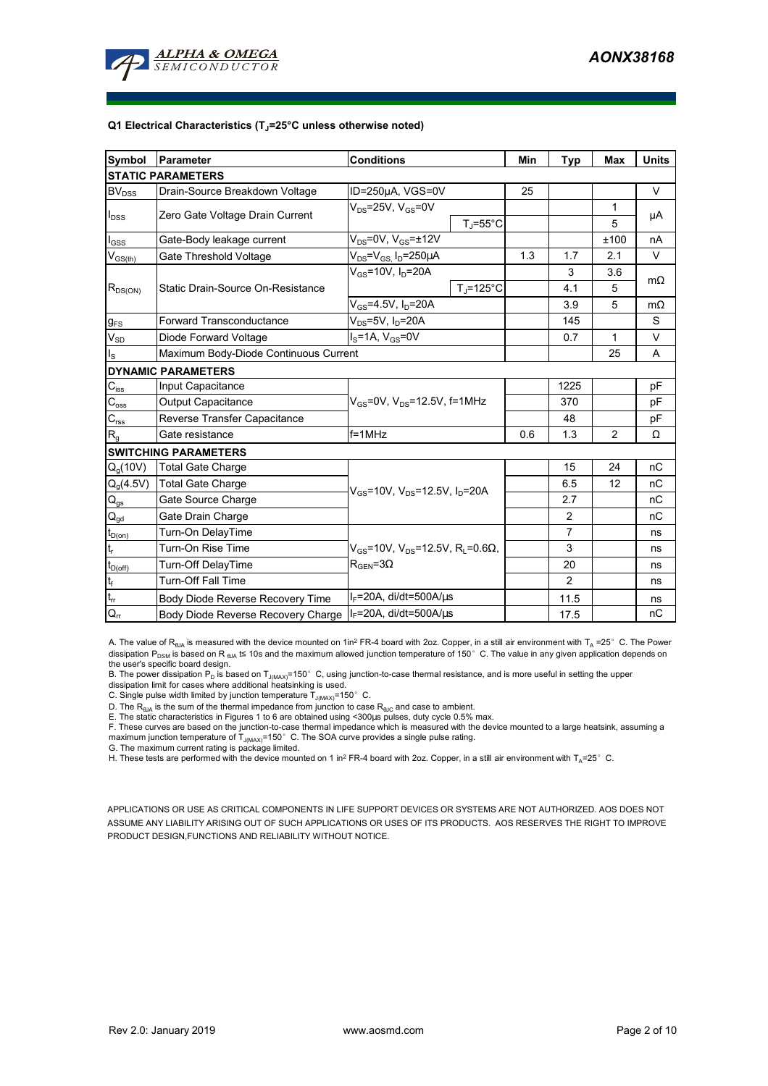

#### **Q1 Electrical Characteristics (TJ=25°C unless otherwise noted)**

| Symbol                                  | Parameter                             | <b>Conditions</b>                                              | Min | <b>Typ</b>     | <b>Max</b>   | <b>Units</b> |  |  |  |
|-----------------------------------------|---------------------------------------|----------------------------------------------------------------|-----|----------------|--------------|--------------|--|--|--|
| <b>STATIC PARAMETERS</b>                |                                       |                                                                |     |                |              |              |  |  |  |
| BV <sub>DSS</sub>                       | Drain-Source Breakdown Voltage        | ID=250µA, VGS=0V                                               | 25  |                |              | $\vee$       |  |  |  |
| $I_{DSS}$                               |                                       | $V_{DS}$ =25V, $V_{GS}$ =0V                                    |     |                | $\mathbf{1}$ | μA           |  |  |  |
|                                         | Zero Gate Voltage Drain Current       | $T_J = 55^{\circ}C$                                            |     |                | 5            |              |  |  |  |
| $I_{GSS}$                               | Gate-Body leakage current             | $V_{DS}$ =0V, $V_{GS}$ = $\pm$ 12V                             |     |                | ±100         | nA           |  |  |  |
| $\mathsf{V}_{\mathsf{GS}(\mathsf{th})}$ | Gate Threshold Voltage                | $V_{DS}$ = $V_{GS}$ , $I_D$ =250 $\mu$ A                       | 1.3 | 1.7            | 2.1          | V            |  |  |  |
|                                         |                                       | $V_{GS}$ =10V, $I_D$ =20A                                      |     | 3              | 3.6          | $m\Omega$    |  |  |  |
| $R_{DS(ON)}$                            | Static Drain-Source On-Resistance     | $T_{\rm J}$ =125°C                                             |     | 4.1            | 5            |              |  |  |  |
|                                         |                                       | $V_{GS}$ =4.5V, I <sub>D</sub> =20A                            |     | 3.9            | 5            | $m\Omega$    |  |  |  |
| $g_{FS}$                                | <b>Forward Transconductance</b>       | $V_{DS}$ =5V, I <sub>D</sub> =20A                              |     | 145            |              | S            |  |  |  |
| $V_{SD}$                                | Diode Forward Voltage                 | $IS=1A, VGS=0V$                                                |     | 0.7            | 1            | V            |  |  |  |
| $I_{\rm S}$                             | Maximum Body-Diode Continuous Current |                                                                |     | 25             | A            |              |  |  |  |
|                                         | <b>DYNAMIC PARAMETERS</b>             |                                                                |     |                |              |              |  |  |  |
| $C_{\hbox{\tiny lss}}$                  | Input Capacitance                     |                                                                |     | 1225           |              | pF           |  |  |  |
| $C_{\rm oss}$                           | Output Capacitance                    | $V_{GS}$ =0V, $V_{DS}$ =12.5V, f=1MHz                          |     | 370            |              | pF           |  |  |  |
| $\mathbf{C}_{\text{rss}}$               | Reverse Transfer Capacitance          |                                                                |     | 48             |              | pF           |  |  |  |
| $R_{g}$                                 | Gate resistance                       | $f = 1$ MHz                                                    | 0.6 | 1.3            | 2            | Ω            |  |  |  |
|                                         | <b>SWITCHING PARAMETERS</b>           |                                                                |     |                |              |              |  |  |  |
| Q <sub>a</sub> (10V)                    | <b>Total Gate Charge</b>              |                                                                |     | 15             | 24           | nC           |  |  |  |
| $Q_g(4.5V)$                             | <b>Total Gate Charge</b>              | $V_{GS}$ =10V, $V_{DS}$ =12.5V, $I_{D}$ =20A                   |     | 6.5            | 12           | nC           |  |  |  |
| $Q_{gs}$                                | Gate Source Charge                    |                                                                |     | 2.7            |              | nC           |  |  |  |
| $\mathsf{Q}_{\underline{\mathsf{gd}}}$  | Gate Drain Charge                     |                                                                |     | $\overline{2}$ |              | nC           |  |  |  |
| $t_{D(0n)}$                             | Turn-On DelayTime                     |                                                                |     | $\overline{7}$ |              | ns           |  |  |  |
| t,                                      | Turn-On Rise Time                     | $V_{GS}$ =10V, $V_{DS}$ =12.5V, R <sub>L</sub> =0.6 $\Omega$ , |     | 3              |              | ns           |  |  |  |
| $t_{D(off)}$                            | Turn-Off DelayTime                    | $R_{\text{GEN}} = 3\Omega$                                     |     | 20             |              | ns           |  |  |  |
| $\mathbf{t}_\text{f}$                   | <b>Turn-Off Fall Time</b>             |                                                                |     | $\overline{2}$ |              | ns           |  |  |  |
| $\mathfrak{t}_{\text{rr}}$              | Body Diode Reverse Recovery Time      | $I_F$ =20A, di/dt=500A/ $\mu$ s                                |     | 11.5           |              | ns           |  |  |  |
| $Q_{rr}$                                | Body Diode Reverse Recovery Charge    | $I_F$ =20A, di/dt=500A/us                                      |     | 17.5           |              | пC           |  |  |  |

A. The value of  $R_{\theta JA}$  is measured with the device mounted on 1in<sup>2</sup> FR-4 board with 2oz. Copper, in a still air environment with T<sub>A</sub> =25°C. The Power dissipation P<sub>DSM</sub> is based on R <sub>θJA</sub> t≤ 10s and the maximum allowed junction temperature of 150°C. The value in any given application depends on

the user's specific board design.<br>B. The power dissipation P<sub>D</sub> is based on T<sub>J(MAX)</sub>=150° C, using junction-to-case thermal resistance, and is more useful in setting the upper<br>dissipation limit for cases where additional

D. The  $R_{\theta JA}$  is the sum of the thermal impedance from junction to case  $R_{\theta JC}$  and case to ambient.

E. The static characteristics in Figures 1 to 6 are obtained using <300us pulses, duty cycle 0.5% max.

F. These curves are based on the junction-to-case thermal impedance which is measured with the device mounted to a large heatsink, assuming a maximum junction temperature of  $T_{J(MAX)}$ =150°C. The SOA curve provides a single pulse rating.

G. The maximum current rating is package limited.

H. These tests are performed with the device mounted on 1 in<sup>2</sup> FR-4 board with 2oz. Copper, in a still air environment with T<sub>A</sub>=25°C.

APPLICATIONS OR USE AS CRITICAL COMPONENTS IN LIFE SUPPORT DEVICES OR SYSTEMS ARE NOT AUTHORIZED. AOS DOES NOT ASSUME ANY LIABILITY ARISING OUT OF SUCH APPLICATIONS OR USES OF ITS PRODUCTS. AOS RESERVES THE RIGHT TO IMPROVE PRODUCT DESIGN,FUNCTIONS AND RELIABILITY WITHOUT NOTICE.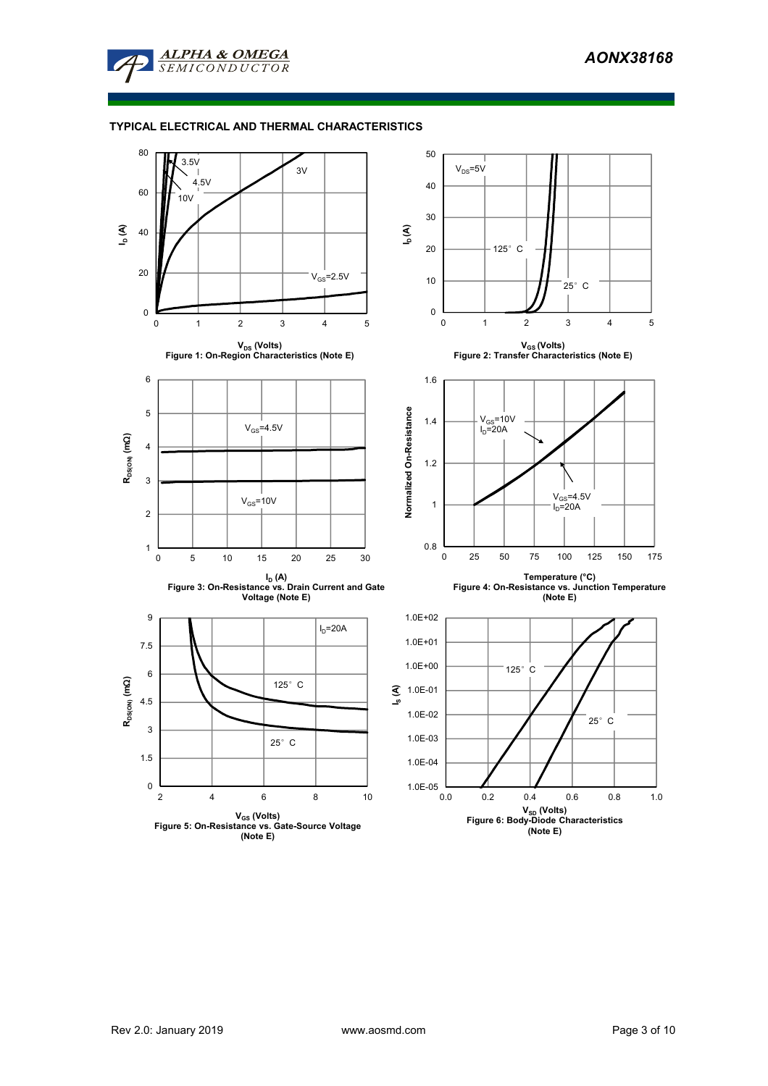

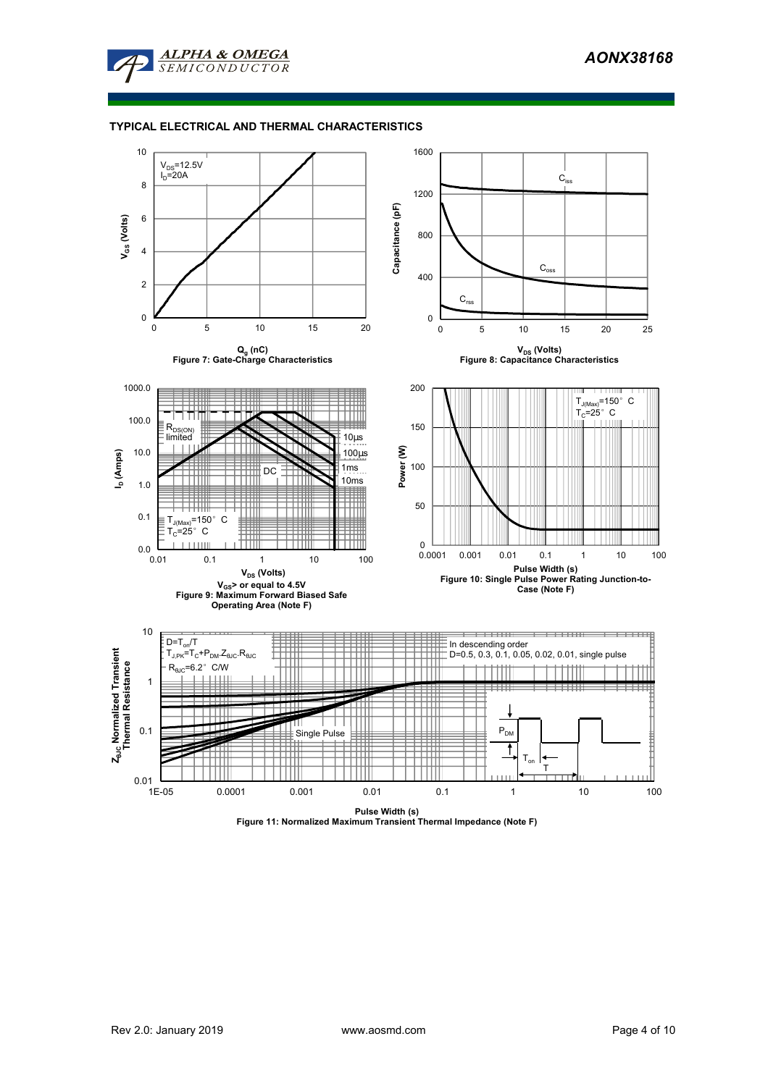

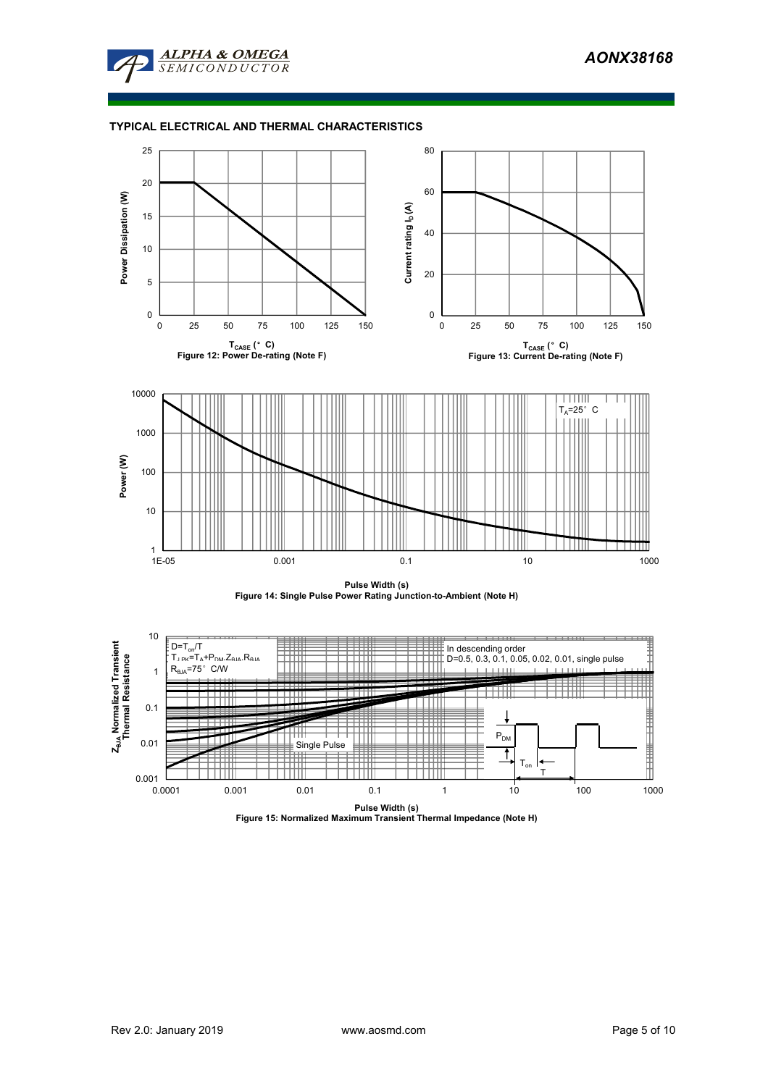







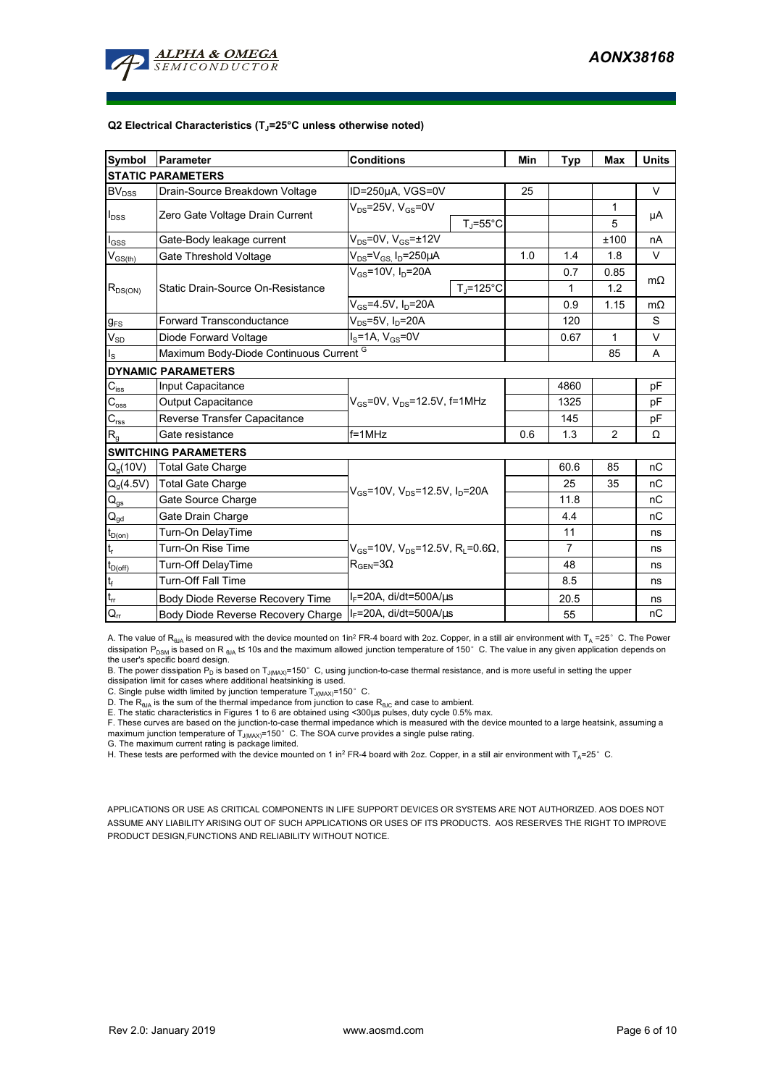

#### **Q2 Electrical Characteristics (TJ=25°C unless otherwise noted)**

| Symbol                                  | <b>Parameter</b>                        | <b>Conditions</b>                                                   |                      | Min            | <b>Typ</b>     | <b>Max</b>   | <b>Units</b> |  |  |
|-----------------------------------------|-----------------------------------------|---------------------------------------------------------------------|----------------------|----------------|----------------|--------------|--------------|--|--|
| <b>STATIC PARAMETERS</b>                |                                         |                                                                     |                      |                |                |              |              |  |  |
| <b>BV</b> <sub>DSS</sub>                | Drain-Source Breakdown Voltage          | ID=250µA, VGS=0V                                                    |                      | 25             |                |              | V            |  |  |
|                                         |                                         | $V_{DS}$ =25V, $V_{GS}$ =0V                                         |                      |                |                | 1            | μA           |  |  |
| $I_{DSS}$                               | Zero Gate Voltage Drain Current         |                                                                     | $T_i = 55^{\circ}$ C |                |                | 5            |              |  |  |
| $I_{GSS}$                               | Gate-Body leakage current               | $V_{DS}$ =0V, $V_{GS}$ = $\pm$ 12V                                  |                      |                |                | ±100         | nA           |  |  |
| $\mathsf{V}_{\mathsf{GS}(\mathsf{th})}$ | Gate Threshold Voltage                  | $V_{DS} = V_{GS} I_D = 250 \mu A$                                   |                      | 1.0            | 1.4            | 1.8          | V            |  |  |
|                                         |                                         | $V_{\text{GS}}$ =10V, $I_{\text{D}}$ =20A                           |                      |                | 0.7            | 0.85         | $m\Omega$    |  |  |
| $R_{DS(ON)}$                            | Static Drain-Source On-Resistance       |                                                                     | $T_{\rm J}$ =125°C   |                | 1              | 1.2          |              |  |  |
|                                         |                                         | $V_{GS} = 4.5V, I_D = 20A$                                          |                      |                | 0.9            | 1.15         | $m\Omega$    |  |  |
| $g_{FS}$                                | <b>Forward Transconductance</b>         | $V_{DS}$ =5V, I <sub>D</sub> =20A                                   |                      |                | 120            |              | S            |  |  |
| $V_{SD}$                                | Diode Forward Voltage                   | $I_S = 1A$ , $V_{GS} = 0V$                                          |                      |                | 0.67           | $\mathbf{1}$ | V            |  |  |
| $I_{\rm S}$                             | Maximum Body-Diode Continuous Current G |                                                                     |                      |                |                | 85           | A            |  |  |
|                                         | <b>DYNAMIC PARAMETERS</b>               |                                                                     |                      |                |                |              |              |  |  |
| $C_{\text{iss}}$                        | Input Capacitance                       |                                                                     |                      |                | 4860           |              | pF           |  |  |
| $C_{\rm oss}$                           | Output Capacitance                      | $V_{GS}$ =0V, $V_{DS}$ =12.5V, f=1MHz                               |                      | 1325           |                | pF           |              |  |  |
| $\mathbf{C}_{\text{rss}}$               | Reverse Transfer Capacitance            |                                                                     |                      |                | 145            |              | pF           |  |  |
| $R_{q}$                                 | Gate resistance                         | $f = 1$ MHz                                                         | 0.6                  | 1.3            | $\overline{2}$ | Ω            |              |  |  |
|                                         | <b>SWITCHING PARAMETERS</b>             |                                                                     |                      |                |                |              |              |  |  |
| Q <sub>a</sub> (10V)                    | <b>Total Gate Charge</b>                |                                                                     |                      |                | 60.6           | 85           | nC           |  |  |
| $Q_g(4.5V)$                             | <b>Total Gate Charge</b>                | $V_{GS}$ =10V, $V_{DS}$ =12.5V, $I_{D}$ =20A                        |                      |                | 25             | 35           | nC           |  |  |
| $\mathsf{Q}_{\mathsf{gs}}$              | Gate Source Charge                      |                                                                     |                      |                | 11.8           |              | nC           |  |  |
| $\mathsf{Q}_{\underline{\mathsf{gd}}}$  | Gate Drain Charge                       |                                                                     |                      |                | 4.4            |              | nC           |  |  |
| $t_{D(0n)}$                             | Turn-On DelayTime                       |                                                                     |                      |                | 11             |              | ns           |  |  |
| $t_r$                                   | Turn-On Rise Time                       | $V_{\text{gs}}$ =10V, $V_{\text{ps}}$ =12.5V, R <sub>i</sub> =0.6Ω, |                      | $\overline{7}$ |                | ns           |              |  |  |
| $t_{D(off)}$                            | Turn-Off DelayTime                      | $R_{\text{GEN}} = 3\Omega$                                          |                      |                | 48             |              | ns           |  |  |
| $t_f$                                   | <b>Turn-Off Fall Time</b>               |                                                                     |                      | 8.5            |                | ns           |              |  |  |
| $t_{\rm rr}$                            | Body Diode Reverse Recovery Time        | $I_F$ =20A, di/dt=500A/ $\mu$ s                                     |                      |                | 20.5           |              | ns           |  |  |
| $Q_{rr}$                                | Body Diode Reverse Recovery Charge      | $I_F$ =20A, di/dt=500A/us                                           |                      |                | 55             |              | nC           |  |  |

A. The value of R<sub>eJA</sub> is measured with the device mounted on 1in<sup>2</sup> FR-4 board with 2oz. Copper, in a still air environment with T<sub>A</sub> =25° C. The Power dissipation P<sub>DSM</sub> is based on R <sub>θJA</sub> t≤ 10s and the maximum allowed junction temperature of 150°C. The value in any given application depends on

the user's specific board design.<br>B. The power dissipation P<sub>D</sub> is based on T<sub>J(MAX)</sub>=150° C, using junction-to-case thermal resistance, and is more useful in setting the upper<br>dissipation limit for cases where additional

C. Single pulse width limited by junction temperature  $\overline{T}_{J(MAX)}$ =150°C.

D. The  $R_{AIA}$  is the sum of the thermal impedance from junction to case  $R_{AIC}$  and case to ambient.

E. The static characteristics in Figures 1 to 6 are obtained using <300µs pulses, duty cycle 0.5% max.

F. These curves are based on the junction-to-case thermal impedance which is measured with the device mounted to a large heatsink, assuming a maximum junction temperature of T<sub>J(MAX)</sub>=150°C. The SOA curve provides a single pulse rating.<br>G. The maximum current rating is package limited.

H. These tests are performed with the device mounted on 1 in<sup>2</sup> FR-4 board with 2oz. Copper, in a still air environment with T<sub>A</sub>=25°C.

APPLICATIONS OR USE AS CRITICAL COMPONENTS IN LIFE SUPPORT DEVICES OR SYSTEMS ARE NOT AUTHORIZED. AOS DOES NOT ASSUME ANY LIABILITY ARISING OUT OF SUCH APPLICATIONS OR USES OF ITS PRODUCTS. AOS RESERVES THE RIGHT TO IMPROVE PRODUCT DESIGN,FUNCTIONS AND RELIABILITY WITHOUT NOTICE.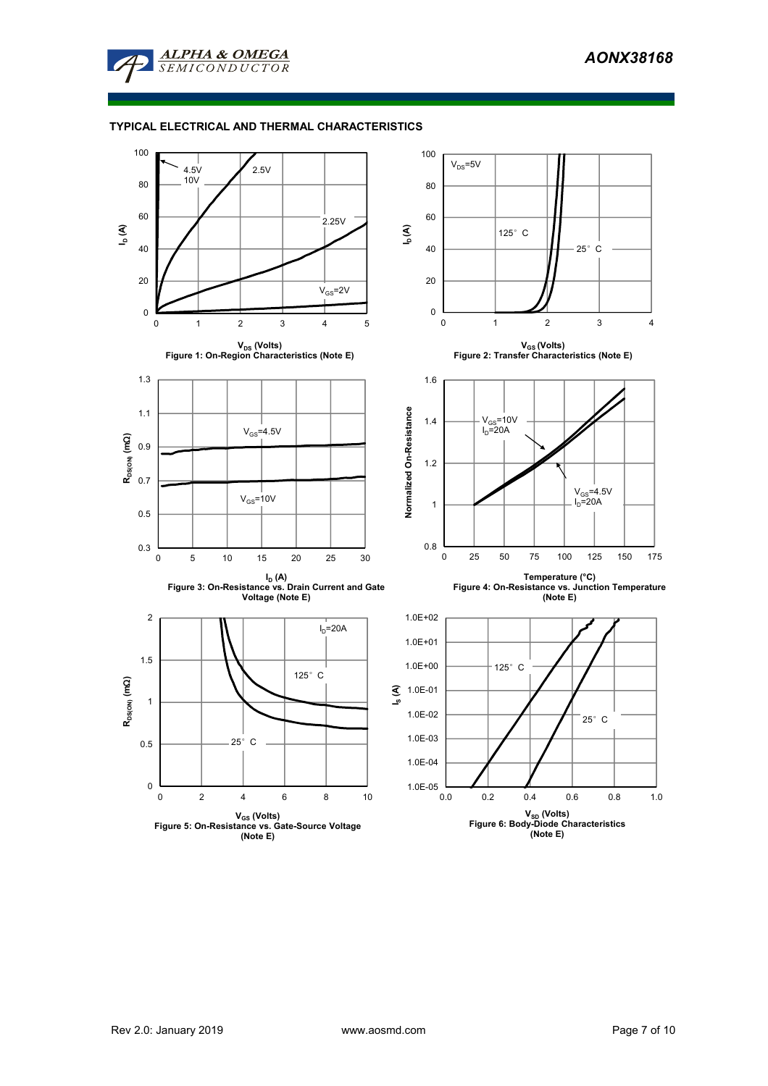

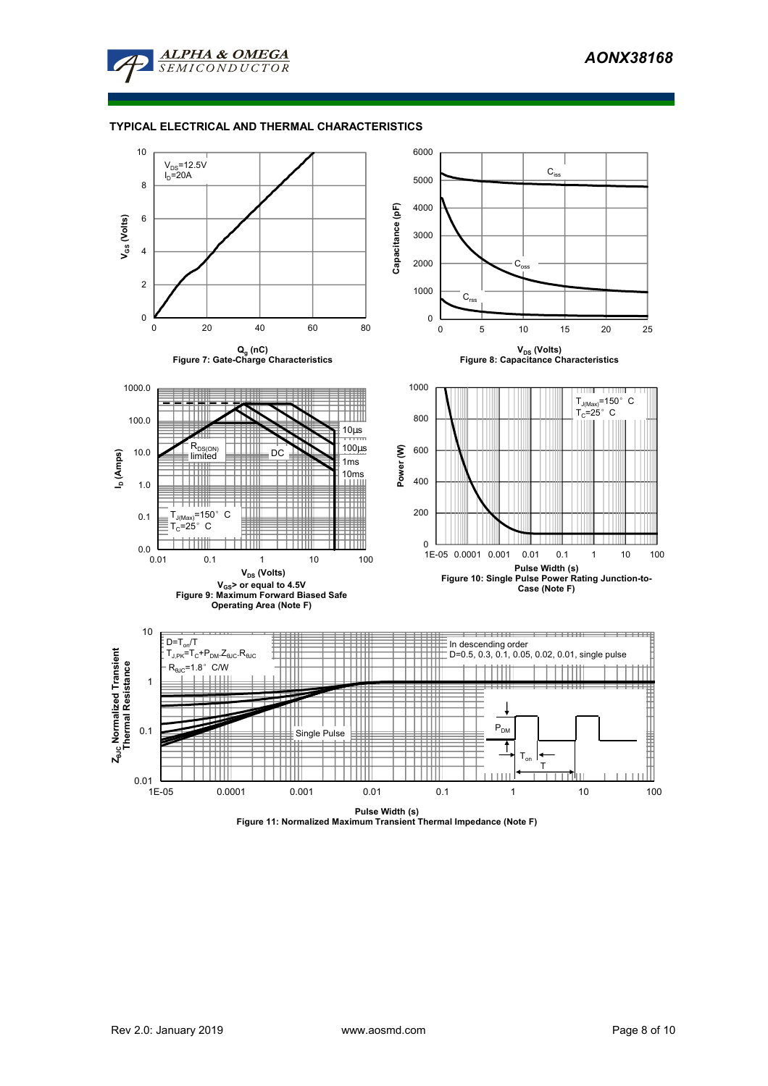



**Pulse Width (s) Figure 11: Normalized Maximum Transient Thermal Impedance (Note F)**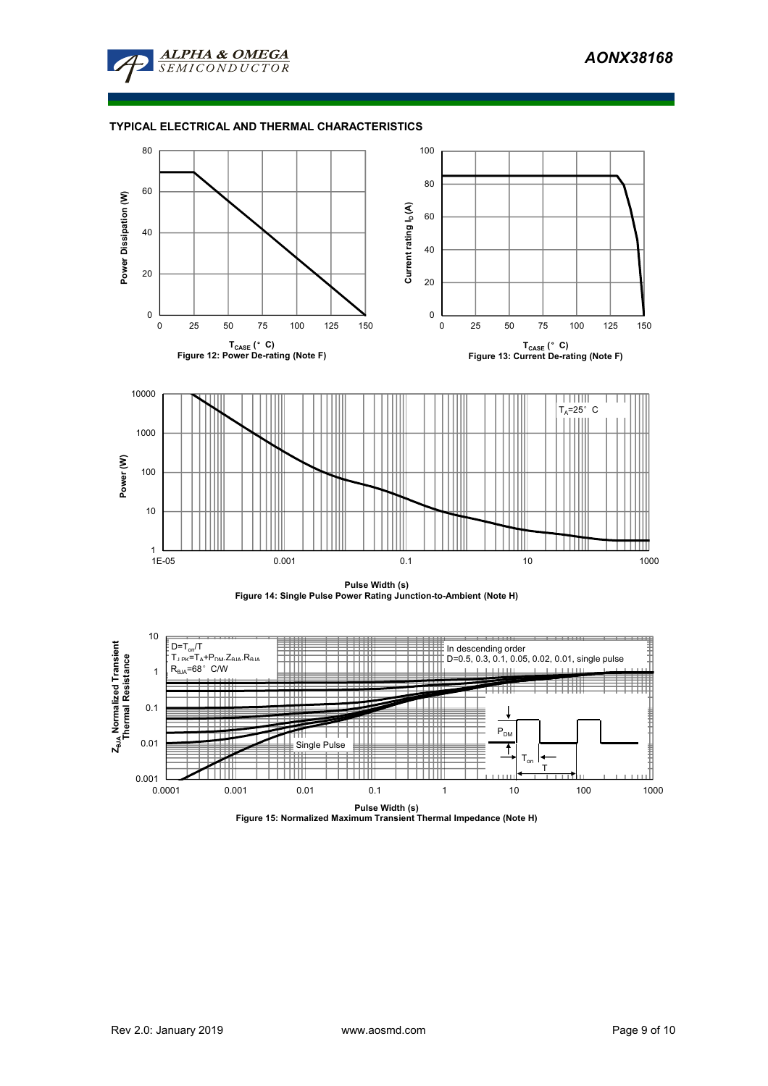







**Pulse Width (s) Figure 15: Normalized Maximum Transient Thermal Impedance (Note H)**